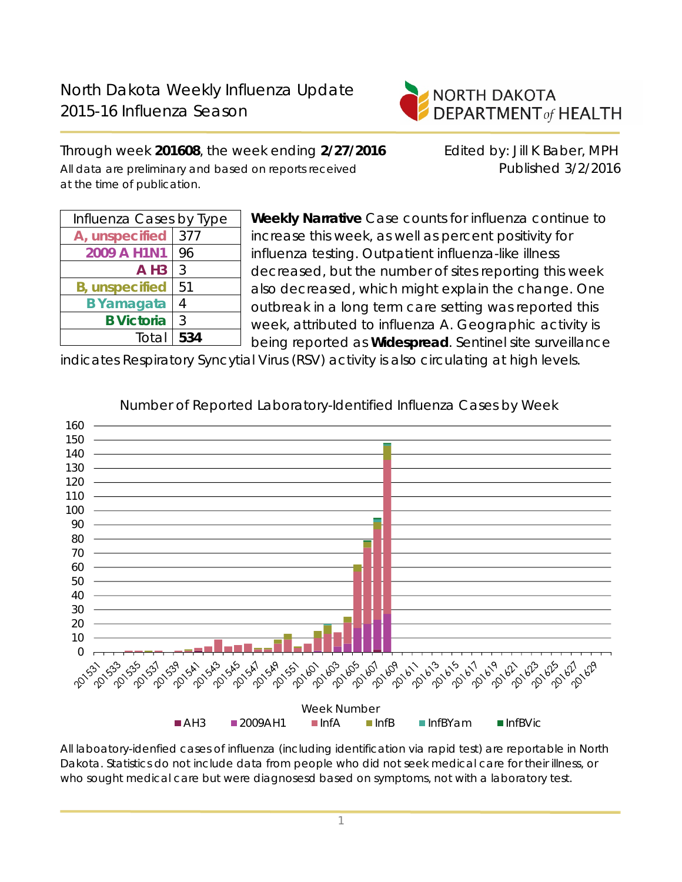

Through week **201608**, the week ending **2/27/2016** Edited by: Jill K Baber, MPH All data are preliminary and based on reports received **Published 3/2/2016** at the time of publication.

| Influenza Cases by Type |     |  |  |  |
|-------------------------|-----|--|--|--|
| A, unspecified          | 377 |  |  |  |
| 2009 A H1N1             | 96  |  |  |  |
| $A$ H <sub>3</sub>      | 3   |  |  |  |
| <b>B</b> , unspecified  | 51  |  |  |  |
| <b>B</b> Yamagata       | 4   |  |  |  |
| <b>B</b> Victoria       | 3   |  |  |  |
| Total                   | 534 |  |  |  |
|                         |     |  |  |  |

**Weekly Narrative** Case counts for influenza continue to increase this week, as well as percent positivity for influenza testing. Outpatient influenza-like illness decreased, but the number of sites reporting this week also decreased, which might explain the change. One outbreak in a long term care setting was reported this week, attributed to influenza A. Geographic activity is being reported as **Widespread**. Sentinel site surveillance

indicates Respiratory Syncytial Virus (RSV) activity is also circulating at high levels.



Number of Reported Laboratory-Identified Influenza Cases by Week

All laboatory-idenfied cases of influenza (including identification via rapid test) are reportable in North Dakota. Statistics do not include data from people who did not seek medical care for their illness, or who sought medical care but were diagnosesd based on symptoms, not with a laboratory test.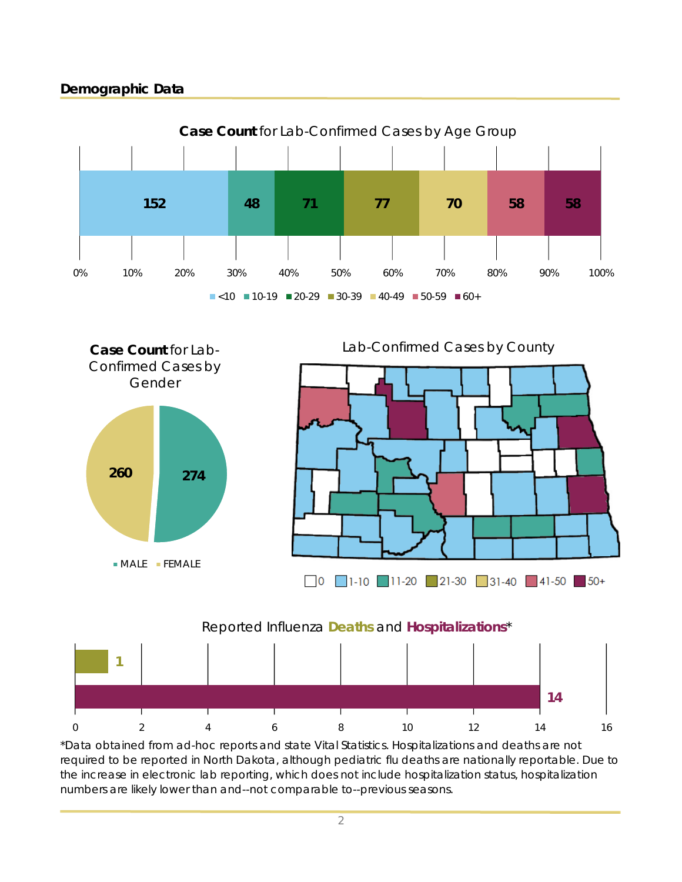# **Demographic Data**





\*Data obtained from ad-hoc reports and state Vital Statistics. Hospitalizations and deaths are not required to be reported in North Dakota, although pediatric flu deaths are nationally reportable. Due to the increase in electronic lab reporting, which does not include hospitalization status, hospitalization numbers are likely lower than and--not comparable to--previous seasons.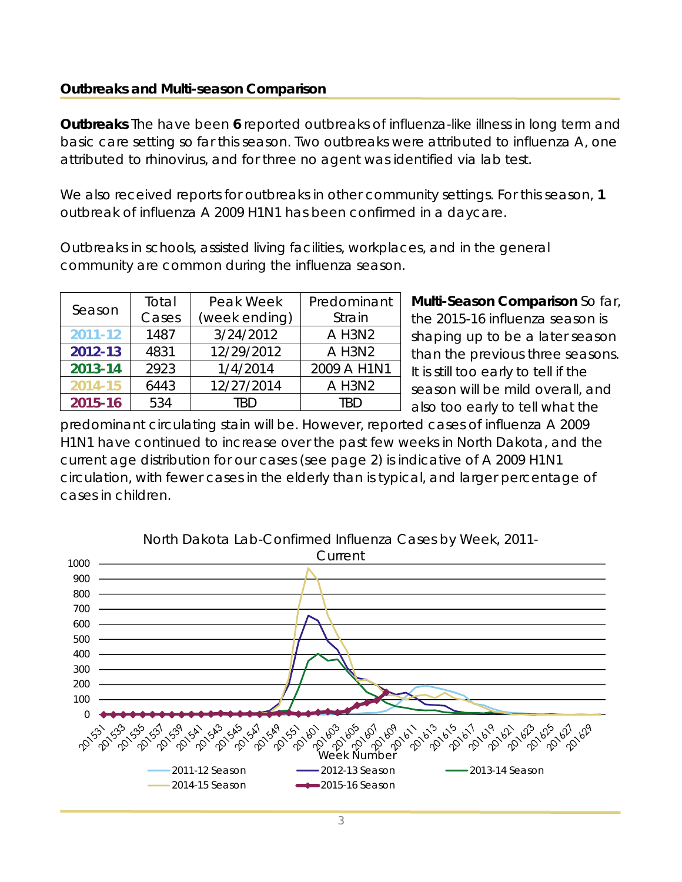#### **Outbreaks and Multi-season Comparison**

**Outbreaks** The have been **6** reported outbreaks of influenza-like illness in long term and basic care setting so far this season. Two outbreaks were attributed to influenza A, one attributed to rhinovirus, and for three no agent was identified via lab test.

We also received reports for outbreaks in other community settings. For this season, **1** outbreak of influenza A 2009 H1N1 has been confirmed in a daycare.

Outbreaks in schools, assisted living facilities, workplaces, and in the general community are common during the influenza season.

| Season      | Total | Peak Week     | Predominant |  |
|-------------|-------|---------------|-------------|--|
|             | Cases | (week ending) | Strain      |  |
| $2011 - 12$ | 1487  | 3/24/2012     | A H3N2      |  |
| 2012-13     | 4831  | 12/29/2012    | A H3N2      |  |
| 2013-14     | 2923  | 1/4/2014      | 2009 A H1N1 |  |
| 2014-15     | 6443  | 12/27/2014    | A H3N2      |  |
| 2015-16     | 534   | TRD           | TRD         |  |

**Multi-Season Comparison** So far, the 2015-16 influenza season is shaping up to be a later season than the previous three seasons. It is still too early to tell if the season will be mild overall, and also too early to tell what the

predominant circulating stain will be. However, reported cases of influenza A 2009 H1N1 have continued to increase over the past few weeks in North Dakota, and the current age distribution for our cases (see page 2) is indicative of A 2009 H1N1 circulation, with fewer cases in the elderly than is typical, and larger percentage of cases in children.

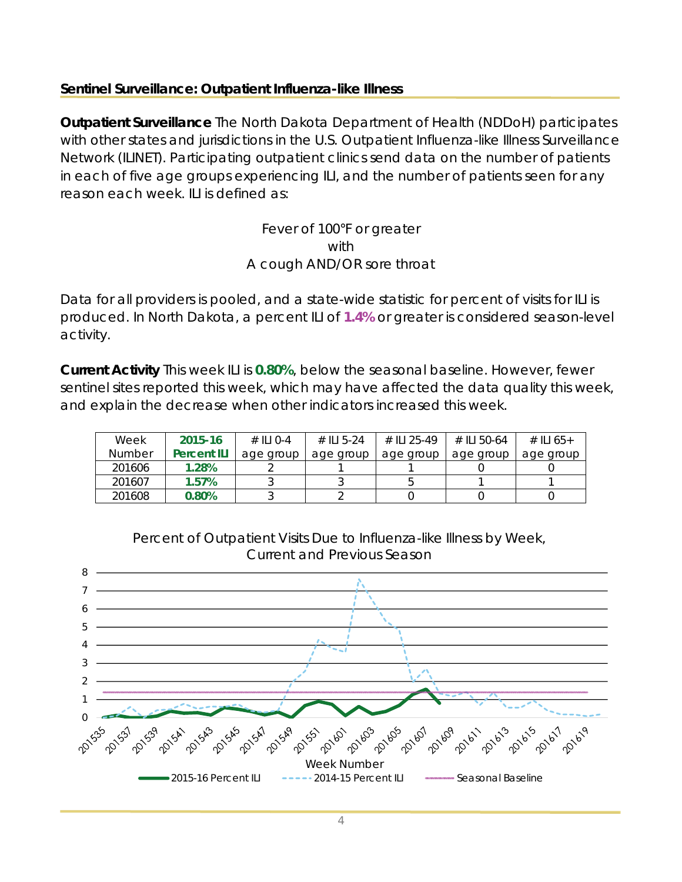## **Sentinel Surveillance: Outpatient Influenza-like Illness**

**Outpatient Surveillance** The North Dakota Department of Health (NDDoH) participates with other states and jurisdictions in the U.S. Outpatient Influenza-like Illness Surveillance Network (ILINET). Participating outpatient clinics send data on the number of patients in each of five age groups experiencing ILI, and the number of patients seen for any reason each week. ILI is defined as:

### Fever of 100°F or greater with A cough AND/OR sore throat

Data for all providers is pooled, and a state-wide statistic for percent of visits for ILI is produced. In North Dakota, a percent ILI of **1.4%** or greater is considered season-level activity.

**Current Activity** This week ILI is **0.80%**, below the seasonal baseline. However, fewer sentinel sites reported this week, which may have affected the data quality this week, and explain the decrease when other indicators increased this week.

| Week          | 2015-16            | $\#$ ILI 0-4 | # II 5-24 | # II 1 25-49 | # II 50-64 | # II 65+  |
|---------------|--------------------|--------------|-----------|--------------|------------|-----------|
| <b>Number</b> | <b>Percent ILI</b> | age group    | age group | age group    | age group  | age group |
| 201606        | 1.28%              |              |           |              |            |           |
| 201607        | 1.57%              |              |           |              |            |           |
| 201608        | 0.80%              |              |           |              |            |           |



Percent of Outpatient Visits Due to Influenza-like Illness by Week,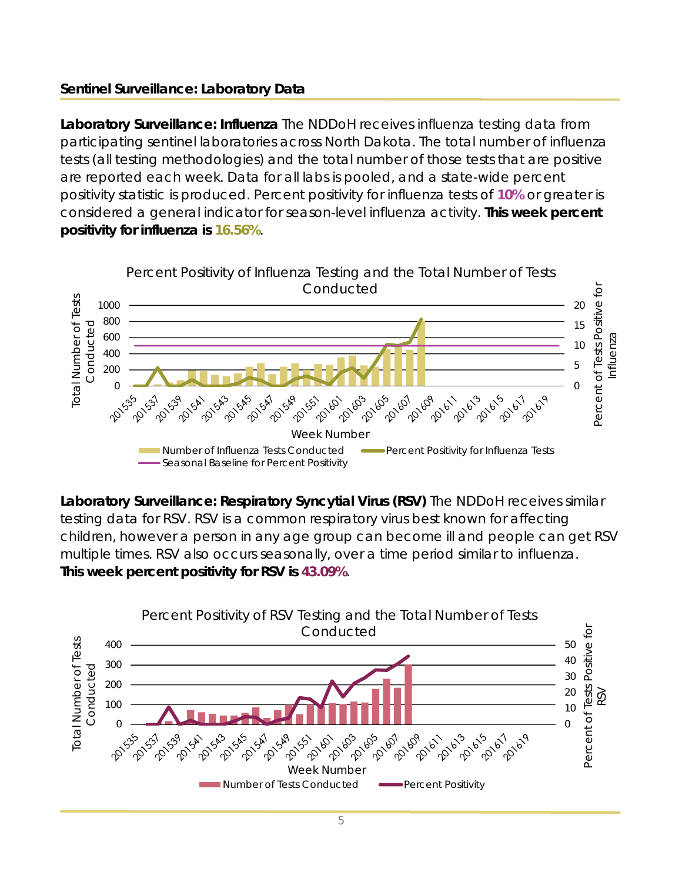# **Sentinel Surveillance: Laboratory Data**

**Laboratory Surveillance: Influenza** The NDDoH receives influenza testing data from participating sentinel laboratories across North Dakota. The total number of influenza tests (all testing methodologies) and the total number of those tests that are positive are reported each week. Data for all labs is pooled, and a state-wide percent positivity statistic is produced. Percent positivity for influenza tests of **10%** or greater is considered a general indicator for season-level influenza activity. **This week percent positivity for influenza is 16.56%**.



**Laboratory Surveillance: Respiratory Syncytial Virus (RSV)** The NDDoH receives similar testing data for RSV. RSV is a common respiratory virus best known for affecting children, however a person in any age group can become ill and people can get RSV multiple times. RSV also occurs seasonally, over a time period similar to influenza. **This week percent positivity for RSV is 43.09%**.

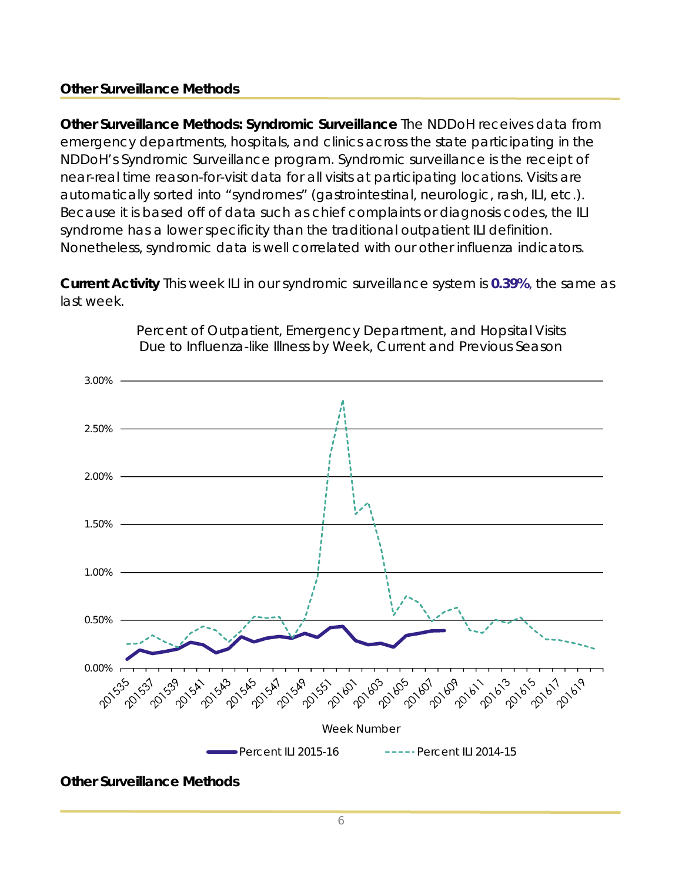## **Other Surveillance Methods**

**Other Surveillance Methods: Syndromic Surveillance** The NDDoH receives data from emergency departments, hospitals, and clinics across the state participating in the NDDoH's Syndromic Surveillance program. Syndromic surveillance is the receipt of near-real time reason-for-visit data for all visits at participating locations. Visits are automatically sorted into "syndromes" (gastrointestinal, neurologic, rash, ILI, etc.). Because it is based off of data such as chief complaints or diagnosis codes, the ILI syndrome has a lower specificity than the traditional outpatient ILI definition. Nonetheless, syndromic data is well correlated with our other influenza indicators.

**Current Activity** This week ILI in our syndromic surveillance system is **0.39%**, the same as last week.



Percent of Outpatient, Emergency Department, and Hopsital Visits Due to Influenza-like Illness by Week, Current and Previous Season

**Other Surveillance Methods**